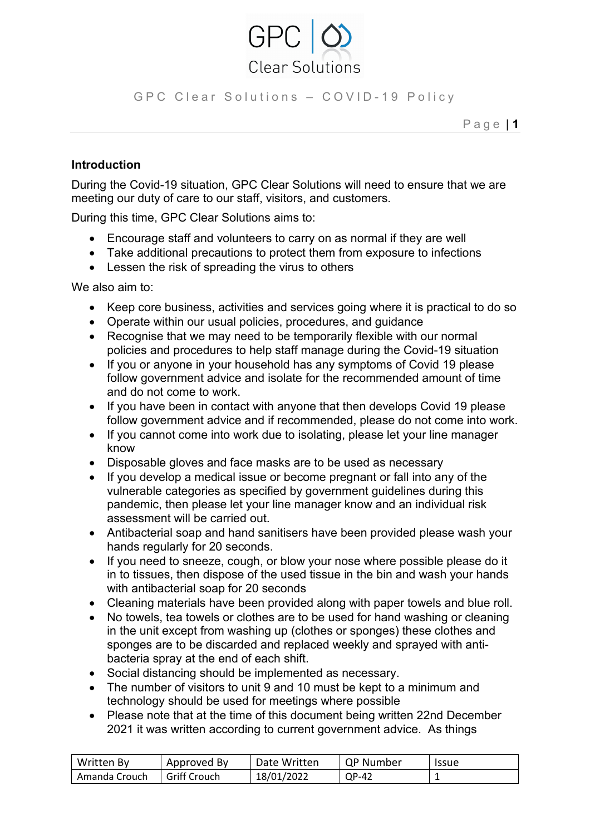

GPC Clear Solutions - COVID-19 Policy

P a g e | **1**

## **Introduction**

During the Covid-19 situation, GPC Clear Solutions will need to ensure that we are meeting our duty of care to our staff, visitors, and customers.

During this time, GPC Clear Solutions aims to:

- Encourage staff and volunteers to carry on as normal if they are well
- Take additional precautions to protect them from exposure to infections
- Lessen the risk of spreading the virus to others

We also aim to:

- Keep core business, activities and services going where it is practical to do so
- Operate within our usual policies, procedures, and guidance
- Recognise that we may need to be temporarily flexible with our normal policies and procedures to help staff manage during the Covid-19 situation
- If you or anyone in your household has any symptoms of Covid 19 please follow government advice and isolate for the recommended amount of time and do not come to work.
- If you have been in contact with anyone that then develops Covid 19 please follow government advice and if recommended, please do not come into work.
- If you cannot come into work due to isolating, please let your line manager know
- Disposable gloves and face masks are to be used as necessary
- If you develop a medical issue or become pregnant or fall into any of the vulnerable categories as specified by government guidelines during this pandemic, then please let your line manager know and an individual risk assessment will be carried out.
- Antibacterial soap and hand sanitisers have been provided please wash your hands regularly for 20 seconds.
- If you need to sneeze, cough, or blow your nose where possible please do it in to tissues, then dispose of the used tissue in the bin and wash your hands with antibacterial soap for 20 seconds
- Cleaning materials have been provided along with paper towels and blue roll.
- No towels, tea towels or clothes are to be used for hand washing or cleaning in the unit except from washing up (clothes or sponges) these clothes and sponges are to be discarded and replaced weekly and sprayed with antibacteria spray at the end of each shift.
- Social distancing should be implemented as necessary.
- The number of visitors to unit 9 and 10 must be kept to a minimum and technology should be used for meetings where possible
- Please note that at the time of this document being written 22nd December 2021 it was written according to current government advice. As things

| Written By    | Approved By         | Date Written | <b>QP Number</b> | <b>Issue</b> |
|---------------|---------------------|--------------|------------------|--------------|
| Amanda Crouch | <b>Griff Crouch</b> | 18/01/2022   | QP-42            |              |